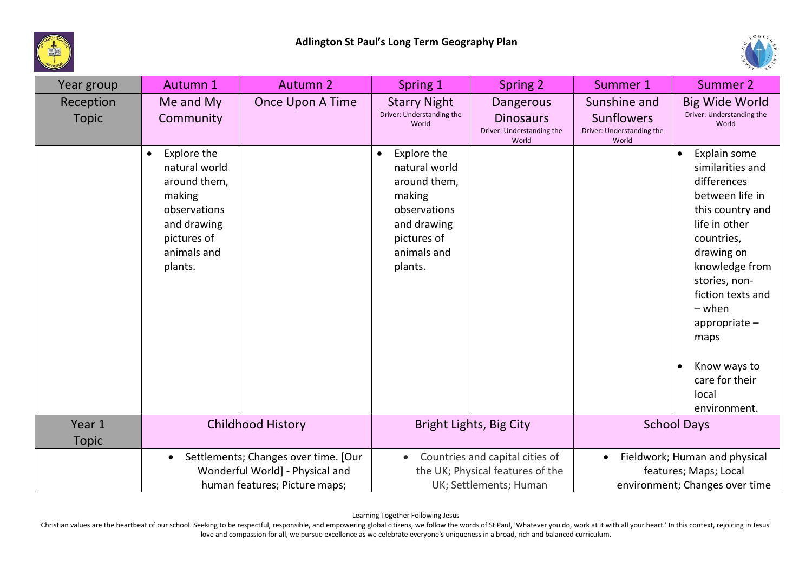



| Year group                | Autumn 1                                                                                                                                    | <b>Autumn 2</b>          | Spring 1                                                                                                                                    | Spring 2                                                                                      | Summer 1                                                                | Summer 2                                                                                                                                                                                                                                                                                      |
|---------------------------|---------------------------------------------------------------------------------------------------------------------------------------------|--------------------------|---------------------------------------------------------------------------------------------------------------------------------------------|-----------------------------------------------------------------------------------------------|-------------------------------------------------------------------------|-----------------------------------------------------------------------------------------------------------------------------------------------------------------------------------------------------------------------------------------------------------------------------------------------|
| Reception<br><b>Topic</b> | Me and My<br>Community                                                                                                                      | Once Upon A Time         | <b>Starry Night</b><br>Driver: Understanding the<br>World                                                                                   | <b>Dangerous</b><br><b>Dinosaurs</b><br>Driver: Understanding the<br>World                    | Sunshine and<br><b>Sunflowers</b><br>Driver: Understanding the<br>World | <b>Big Wide World</b><br>Driver: Understanding the<br>World                                                                                                                                                                                                                                   |
|                           | Explore the<br>$\bullet$<br>natural world<br>around them,<br>making<br>observations<br>and drawing<br>pictures of<br>animals and<br>plants. |                          | Explore the<br>$\bullet$<br>natural world<br>around them,<br>making<br>observations<br>and drawing<br>pictures of<br>animals and<br>plants. |                                                                                               |                                                                         | Explain some<br>similarities and<br>differences<br>between life in<br>this country and<br>life in other<br>countries,<br>drawing on<br>knowledge from<br>stories, non-<br>fiction texts and<br>$-$ when<br>appropriate $-$<br>maps<br>Know ways to<br>care for their<br>local<br>environment. |
| Year 1<br><b>Topic</b>    |                                                                                                                                             | <b>Childhood History</b> |                                                                                                                                             | Bright Lights, Big City                                                                       |                                                                         | <b>School Days</b>                                                                                                                                                                                                                                                                            |
|                           | Settlements; Changes over time. [Our<br>$\bullet$<br>Wonderful World] - Physical and<br>human features; Picture maps;                       |                          | $\bullet$                                                                                                                                   | Countries and capital cities of<br>the UK; Physical features of the<br>UK; Settlements; Human | $\bullet$                                                               | Fieldwork; Human and physical<br>features; Maps; Local<br>environment; Changes over time                                                                                                                                                                                                      |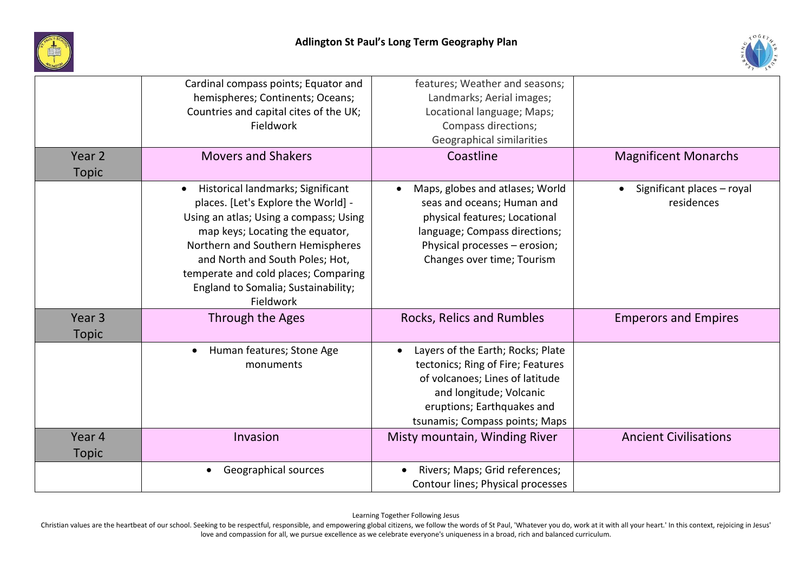



| Year <sub>2</sub>                 | Cardinal compass points; Equator and<br>hemispheres; Continents; Oceans;<br>Countries and capital cites of the UK;<br>Fieldwork<br><b>Movers and Shakers</b>                                                                                                                                                                           | features; Weather and seasons;<br>Landmarks; Aerial images;<br>Locational language; Maps;<br>Compass directions;<br>Geographical similarities<br>Coastline                                           | <b>Magnificent Monarchs</b>                           |
|-----------------------------------|----------------------------------------------------------------------------------------------------------------------------------------------------------------------------------------------------------------------------------------------------------------------------------------------------------------------------------------|------------------------------------------------------------------------------------------------------------------------------------------------------------------------------------------------------|-------------------------------------------------------|
|                                   |                                                                                                                                                                                                                                                                                                                                        |                                                                                                                                                                                                      |                                                       |
| <b>Topic</b>                      | Historical landmarks; Significant<br>$\bullet$<br>places. [Let's Explore the World] -<br>Using an atlas; Using a compass; Using<br>map keys; Locating the equator,<br>Northern and Southern Hemispheres<br>and North and South Poles; Hot,<br>temperate and cold places; Comparing<br>England to Somalia; Sustainability;<br>Fieldwork | Maps, globes and atlases; World<br>seas and oceans; Human and<br>physical features; Locational<br>language; Compass directions;<br>Physical processes - erosion;<br>Changes over time; Tourism       | Significant places - royal<br>$\bullet$<br>residences |
| Year <sub>3</sub><br><b>Topic</b> | Through the Ages                                                                                                                                                                                                                                                                                                                       | Rocks, Relics and Rumbles                                                                                                                                                                            | <b>Emperors and Empires</b>                           |
|                                   | Human features; Stone Age<br>$\bullet$<br>monuments                                                                                                                                                                                                                                                                                    | Layers of the Earth; Rocks; Plate<br>tectonics; Ring of Fire; Features<br>of volcanoes; Lines of latitude<br>and longitude; Volcanic<br>eruptions; Earthquakes and<br>tsunamis; Compass points; Maps |                                                       |
| Year 4<br>Topic                   | Invasion                                                                                                                                                                                                                                                                                                                               | Misty mountain, Winding River                                                                                                                                                                        | <b>Ancient Civilisations</b>                          |
|                                   | Geographical sources                                                                                                                                                                                                                                                                                                                   | Rivers; Maps; Grid references;<br>Contour lines; Physical processes                                                                                                                                  |                                                       |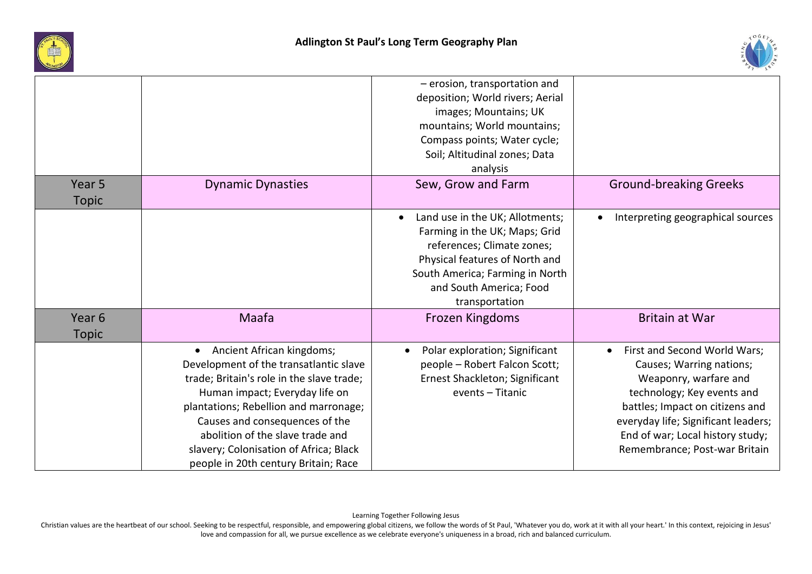



|                                   |                                                                                                                                                                                                                                                                                                                                                                  | - erosion, transportation and<br>deposition; World rivers; Aerial<br>images; Mountains; UK<br>mountains; World mountains;<br>Compass points; Water cycle;<br>Soil; Altitudinal zones; Data<br>analysis                        |                                                                                                                                                                                                                                                                             |
|-----------------------------------|------------------------------------------------------------------------------------------------------------------------------------------------------------------------------------------------------------------------------------------------------------------------------------------------------------------------------------------------------------------|-------------------------------------------------------------------------------------------------------------------------------------------------------------------------------------------------------------------------------|-----------------------------------------------------------------------------------------------------------------------------------------------------------------------------------------------------------------------------------------------------------------------------|
| Year <sub>5</sub><br><b>Topic</b> | <b>Dynamic Dynasties</b>                                                                                                                                                                                                                                                                                                                                         | Sew, Grow and Farm                                                                                                                                                                                                            | <b>Ground-breaking Greeks</b>                                                                                                                                                                                                                                               |
|                                   |                                                                                                                                                                                                                                                                                                                                                                  | Land use in the UK; Allotments;<br>$\bullet$<br>Farming in the UK; Maps; Grid<br>references; Climate zones;<br>Physical features of North and<br>South America; Farming in North<br>and South America; Food<br>transportation | Interpreting geographical sources                                                                                                                                                                                                                                           |
| Year 6<br><b>Topic</b>            | Maafa                                                                                                                                                                                                                                                                                                                                                            | Frozen Kingdoms                                                                                                                                                                                                               | <b>Britain at War</b>                                                                                                                                                                                                                                                       |
|                                   | Ancient African kingdoms;<br>$\bullet$<br>Development of the transatlantic slave<br>trade; Britain's role in the slave trade;<br>Human impact; Everyday life on<br>plantations; Rebellion and marronage;<br>Causes and consequences of the<br>abolition of the slave trade and<br>slavery; Colonisation of Africa; Black<br>people in 20th century Britain; Race | Polar exploration; Significant<br>people - Robert Falcon Scott;<br>Ernest Shackleton; Significant<br>events - Titanic                                                                                                         | First and Second World Wars;<br>$\bullet$<br>Causes; Warring nations;<br>Weaponry, warfare and<br>technology; Key events and<br>battles; Impact on citizens and<br>everyday life; Significant leaders;<br>End of war; Local history study;<br>Remembrance; Post-war Britain |